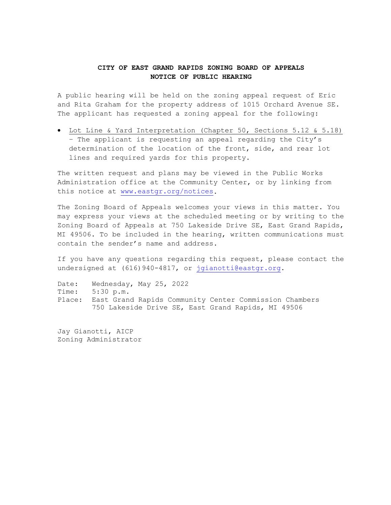## **CITY OF EAST GRAND RAPIDS ZONING BOARD OF APPEALS NOTICE OF PUBLIC HEARING**

A public hearing will be held on the zoning appeal request of Eric and Rita Graham for the property address of 1015 Orchard Avenue SE. The applicant has requested a zoning appeal for the following:

• Lot Line & Yard Interpretation (Chapter 50, Sections 5.12 & 5.18) – The applicant is requesting an appeal regarding the City's determination of the location of the front, side, and rear lot lines and required yards for this property.

The written request and plans may be viewed in the Public Works Administration office at the Community Center, or by linking from this notice at [www.eastgr.org/notices.](http://www.eastgr.org/notices)

The Zoning Board of Appeals welcomes your views in this matter. You may express your views at the scheduled meeting or by writing to the Zoning Board of Appeals at 750 Lakeside Drive SE, East Grand Rapids, MI 49506. To be included in the hearing, written communications must contain the sender's name and address.

If you have any questions regarding this request, please contact the undersigned at (616) 940-4817, or [jgianotti@eastgr.org.](mailto:jgianotti@eastgr.org)

Date: Wednesday, May 25, 2022 Time: 5:30 p.m. Place: East Grand Rapids Community Center Commission Chambers 750 Lakeside Drive SE, East Grand Rapids, MI 49506

Jay Gianotti, AICP Zoning Administrator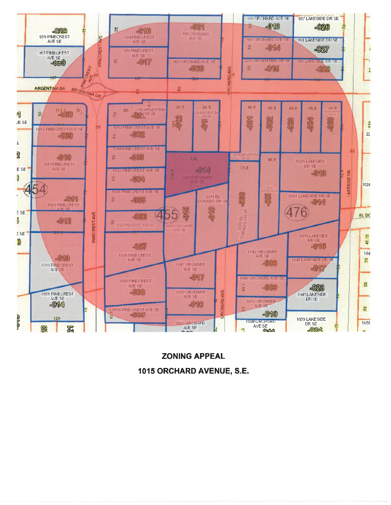

**ZONING APPEAL** 1015 ORCHARD AVENUE, S.E.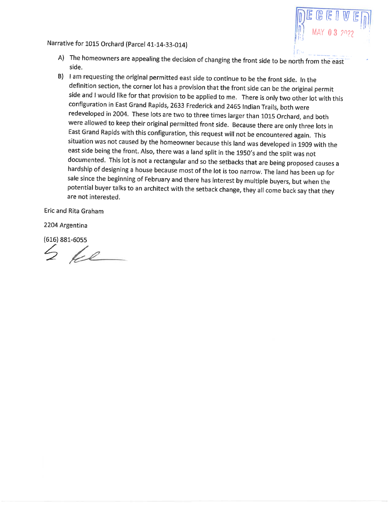## Narrative for 1015 Orchard (Parcel 41-14-33-014)



- A) The homeowners are appealing the decision of changing the front side to be north from the east side.
- B) I am requesting the original permitted east side to continue to be the front side. In the definition section, the corner lot has a provision that the front side can be the original permit side and I would like for that provision to be applied to me. There is only two other lot with this configuration in East Grand Rapids, 2633 Frederick and 2465 Indian Trails, both were redeveloped in 2004. These lots are two to three times larger than 1015 Orchard, and both were allowed to keep their original permitted front side. Because there are only three lots in East Grand Rapids with this configuration, this request will not be encountered again. This situation was not caused by the homeowner because this land was developed in 1909 with the east side being the front. Also, there was a land split in the 1950's and the split was not documented. This lot is not a rectangular and so the setbacks that are being proposed causes a hardship of designing a house because most of the lot is too narrow. The land has been up for sale since the beginning of February and there has interest by multiple buyers, but when the potential buyer talks to an architect with the setback change, they all come back say that they are not interested.

Eric and Rita Graham

2204 Argentina

 $(616) 881 - 6055$ 

 $2$  be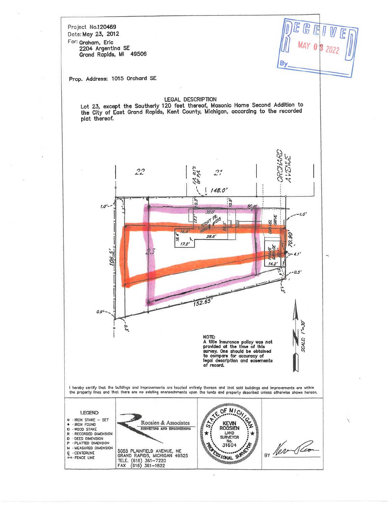Project No.120469 Date: May 23, 2012

For: Graham, Eric 2204 Argentina SE Grand Rapids, MI 49506

B

Ň

Prop. Address: 1015 Orchard SE

## LEGAL DESCRIPTION

Lot 23, except the Southerly 120 feet thereof, Masonic Home Second Addition to<br>the City of East Grand Rapids, Kent County, Michigan, according to the recorded plat thereof.